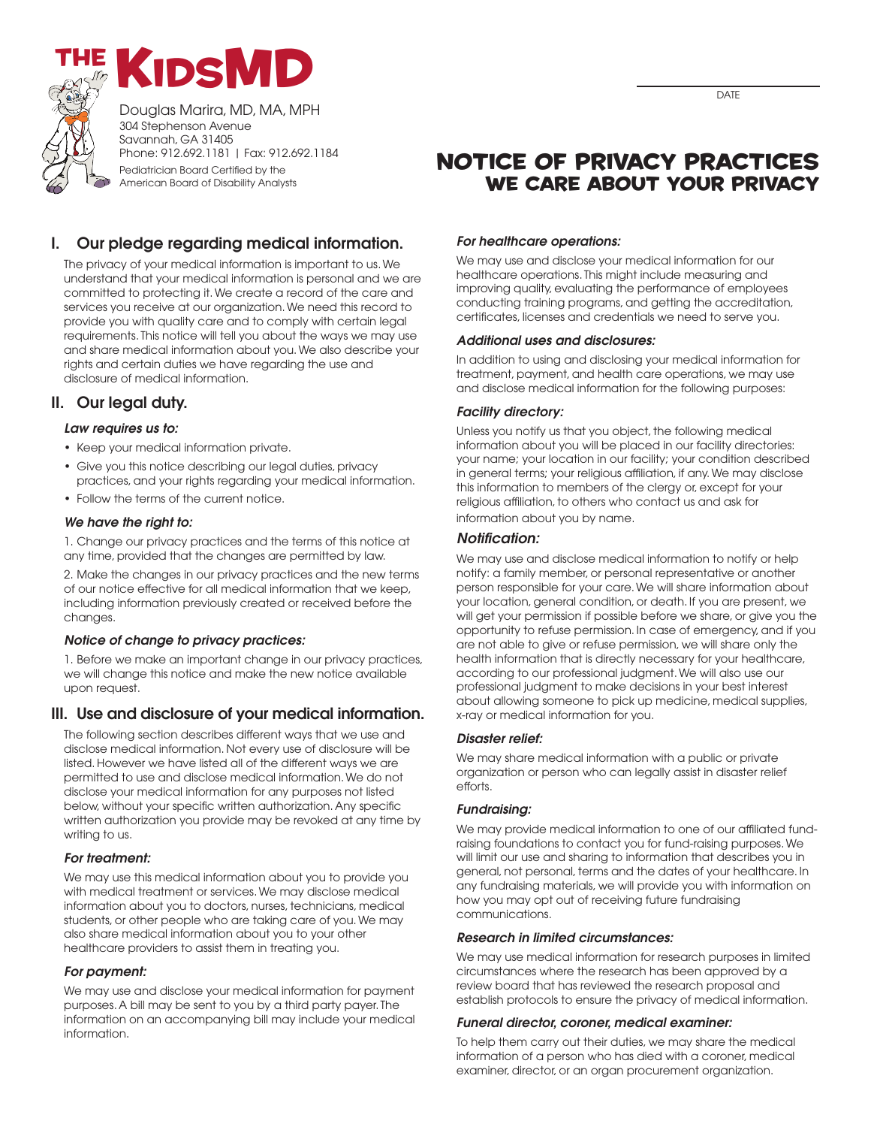



Douglas Marira, MD, MA, MPH 304 Stephenson Avenue Savannah, GA 31405 Phone: 912.692.1181 | Fax: 912.692.1184 Pediatrician Board Certified by the

American Board of Disability Analysts

# **I. Our pledge regarding medical information.**

The privacy of your medical information is important to us.We understand that your medical information is personal and we are committed to protecting it.We create a record of the care and services you receive at our organization.We need this record to provide you with quality care and to comply with certain legal requirements. This notice will tell you about the ways we may use and share medical information about you.We also describe your rights and certain duties we have regarding the use and disclosure of medical information.

# **II. Our legal duty.**

#### *Law requires us to:*

- Keep your medical information private.
- Give you this notice describing our legal duties, privacy practices, and your rights regarding your medical information.
- Follow the terms of the current notice.

#### *We have the right to:*

1. Change our privacy practices and the terms of this notice at any time, provided that the changes are permitted by law.

2. Make the changes in our privacy practices and the new terms of our notice effective for all medical information that we keep, including information previously created or received before the changes.

#### *Notice of change to privacy practices:*

1. Before we make an important change in our privacy practices, we will change this notice and make the new notice available upon request.

# **III. Use and disclosure of your medical information.**

The following section describes different ways that we use and disclose medical information. Not every use of disclosure will be listed.However we have listed all of the different ways we are permitted to use and disclose medical information.We do not disclose your medical information for any purposes not listed below, without your specific written authorization.Any specific written authorization you provide may be revoked at any time by writing to us.

#### *For treatment:*

We may use this medical information about you to provide you with medical treatment or services.We may disclose medical information about you to doctors, nurses, technicians, medical students, or other people who are taking care of you.We may also share medical information about you to your other healthcare providers to assist them in treating you.

#### *For payment:*

We may use and disclose your medical information for payment purposes.A bill may be sent to you by a third party payer. The information on an accompanying bill may include your medical information.

# **Notice of privacy practices We care about your privacy**

#### *For healthcare operations:*

We may use and disclose your medical information for our healthcare operations. This might include measuring and improving quality, evaluating the performance of employees conducting training programs, and getting the accreditation, certificates, licenses and credentials we need to serve you.

#### *Additional uses and disclosures:*

In addition to using and disclosing your medical information for treatment, payment, and health care operations, we may use and disclose medical information for the following purposes:

#### *Facility directory:*

Unless you notify us that you object, the following medical information about you will be placed in our facility directories: your name; your location in our facility; your condition described in general terms; your religious affiliation, if any.We may disclose this information to members of the clergy or, except for your religious affiliation, to others who contact us and ask for information about you by name.

#### *Notification:*

We may use and disclose medical information to notify or help notify: a family member, or personal representative or another person responsible for your care.We will share information about your location, general condition, or death. If you are present, we will get your permission if possible before we share, or give you the opportunity to refuse permission. In case of emergency, and if you are not able to give or refuse permission, we will share only the health information that is directly necessary for your healthcare, according to our professional judgment.We will also use our professional judgment to make decisions in your best interest about allowing someone to pick up medicine, medical supplies, x-ray or medical information for you.

#### *Disaster relief:*

We may share medical information with a public or private organization or person who can legally assist in disaster relief efforts.

#### *Fundraising:*

We may provide medical information to one of our affiliated fundraising foundations to contact you for fund-raising purposes.We will limit our use and sharing to information that describes you in general, not personal, terms and the dates of your healthcare. In any fundraising materials, we will provide you with information on how you may opt out of receiving future fundraising communications.

#### *Research in limited circumstances:*

We may use medical information for research purposes in limited circumstances where the research has been approved by a review board that has reviewed the research proposal and establish protocols to ensure the privacy of medical information.

#### *Funeral director, coroner, medical examiner:*

To help them carry out their duties, we may share the medical information of a person who has died with a coroner, medical examiner, director, or an organ procurement organization.